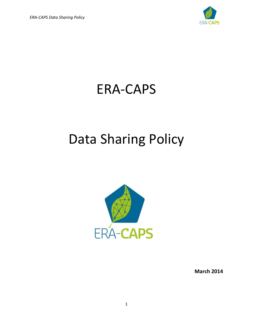

## ERA-CAPS

# Data Sharing Policy



**March 2014**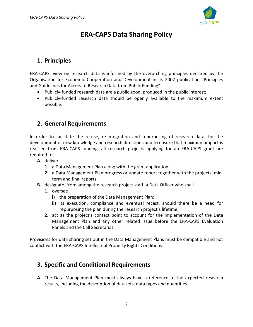

## **ERA-CAPS Data Sharing Policy**

## **1. Principles**

ERA-CAPS' view on research data is informed by the overarching principles declared by the Organisation for Economic Cooperation and Development in its 2007 publication "Principles and Guidelines for Access to Research Data from Public Funding":

- Publicly-funded research data are a public good, produced in the public interest;
- Publicly-funded research data should be openly available to the maximum extent possible.

### **2. General Requirements**

In order to facilitate the re-use, re-integration and repurposing of research data, for the development of new knowledge and research directions and to ensure that maximum impact is realised from ERA-CAPS funding, all research projects applying for an ERA-CAPS grant are required to:

- **A.** deliver
	- **1.** a Data Management Plan along with the grant application;
	- **2.** a Data Management Plan progress or update report together with the projects' midterm and final reports;
- **B.** designate, from among the research project staff, a Data Officer who shall
	- **1.** oversee
		- **i)** the preparation of the Data Management Plan;
		- **ii)** its execution, compliance and eventual recast, should there be a need for repurposing the plan during the research project's lifetime;
	- **2.** act as the project's contact point to account for the implementation of the Data Management Plan and any other related issue before the ERA-CAPS Evaluation Panels and the Call Secretariat.

Provisions for data sharing set out in the Data Management Plans must be compatible and not conflict with the ERA-CAPS Intellectual Property Rights Conditions.

## **3. Specific and Conditional Requirements**

**A.** The Data Management Plan must always have a reference to the expected research results, including the description of datasets, data types and quantities.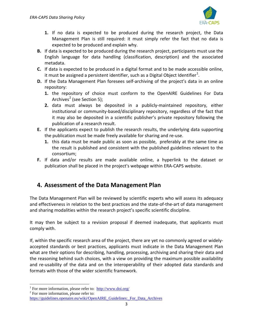

- **1.** If no data is expected to be produced during the research project, the Data Management Plan is still required: it must simply refer the fact that no data is expected to be produced and explain why.
- **B.** If data is expected to be produced during the research project, participants must use the English language for data handling (classification, description) and the associated metadata.
- **C.** If data is expected to be produced in a digital format and to be made accessible online, it must be assigned a persistent identifier, such as a Digital Object Identifier $^1$  $^1$ .
- **D.** If the Data Management Plan foresees self-archiving of the project's data in an online repository:
	- **1.** the repository of choice must conform to the OpenAIRE Guidelines For Data Archives<sup>[2](#page-2-1)</sup> (see Section 5);
	- **2.** data must always be deposited in a publicly-maintained repository, either institutional or community-based/disciplinary repository, regardless of the fact that it may also be deposited in a scientific publisher's private repository following the publication of a research result.
- **E.** If the applicants expect to publish the research results, the underlying data supporting the publication must be made freely available for sharing and re-use.
	- **1.** this data must be made public as soon as possible, preferably at the same time as the result is published and consistent with the published guidelines relevant to the consortium;
- **F.** If data and/or results are made available online, a hyperlink to the dataset or publication shall be placed in the project's webpage within ERA-CAPS website.

## **4. Assessment of the Data Management Plan**

The Data Management Plan will be reviewed by scientific experts who will assess its adequacy and effectiveness in relation to the best practices and the state-of-the-art of data management and sharing modalities within the research project's specific scientific discipline.

It may then be subject to a revision proposal if deemed inadequate, that applicants must comply with.

If, within the specific research area of the project, there are yet no commonly agreed or widelyaccepted standards or best practices, applicants must indicate in the Data Management Plan what are their options for describing, handling, processing, archiving and sharing their data and the reasoning behind such choices, with a view on providing the maximum possible availability and re-usability of the data and on the interoperability of their adopted data standards and formats with those of the wider scientific framework.

<span id="page-2-1"></span>

 $\overline{\phantom{a}}$ 

<span id="page-2-0"></span><sup>&</sup>lt;sup>1</sup> For more information, please refer to:  $\frac{http://www.doi.org/}{http://www.doi.org/})$  $\frac{http://www.doi.org/}{http://www.doi.org/})$  $\frac{http://www.doi.org/}{http://www.doi.org/})$  For more information, please refer to:

[https://guidelines.openaire.eu/wiki/OpenAIRE\\_Guidelines:\\_For\\_Data\\_Archives](https://guidelines.openaire.eu/wiki/OpenAIRE_Guidelines:_For_Data_Archives)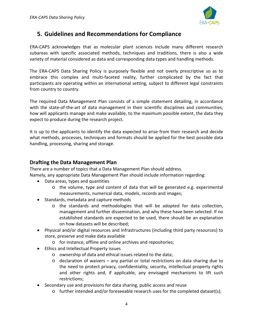

## **5. Guidelines and Recommendations for Compliance**

ERA-CAPS acknowledges that as molecular plant sciences include many different research subareas with specific associated methods, techniques and traditions, there is also a wide variety of material considered as data and corresponding data types and handling methods.

The ERA-CAPS Data Sharing Policy is purposely flexible and not overly prescriptive so as to embrace this complex and multi-faceted reality, further complicated by the fact that participants are operating within an international setting, subject to different legal constraints from country to country.

The required Data Management Plan consists of a simple statement detailing, in accordance with the state-of-the-art of data management in their scientific disciplines and communities, how will applicants manage and make available, to the maximum possible extent, the data they expect to produce during the research project.

It is up to the applicants to identify the data expected to arise from their research and decide what methods, processes, techniques and formats should be applied for the best possible data handling, processing, sharing and storage.

#### **Drafting the Data Management Plan**

There are a number of topics that a Data Management Plan should address. Namely, any appropriate Data Management Plan should include information regarding:

- Data areas, types and quantities
	- o the volume, type and content of data that will be generated e.g. experimental measurements, numerical data, models, records and images;
- Standards, metadata and capture methods
	- o the standards and methodologies that will be adopted for data collection, management and further dissemination, and why these have been selected. If no established standards are expected to be used, there should be an explanation on how datasets will be described;
- Physical and/or digital resources and infrastructures (including third party resources) to store, preserve and make data available
	- o for instance, offline and online archives and repositories;
- Ethics and Intellectual Property issues
	- o ownership of data and ethical issues related to the data;
	- $\circ$  declaration of waivers any partial or total restrictions on data sharing due to the need to protect privacy, confidentiality, security, intellectual property rights and other rights and, if applicable, any envisaged mechanisms to lift such restrictions;
- Secondary use and provisions for data sharing, public access and reuse
	- $\circ$  further intended and/or foreseeable research uses for the completed dataset(s);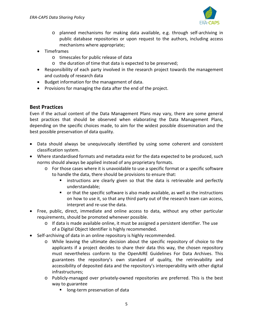

- o planned mechanisms for making data available, e.g. through self-archiving in public database repositories or upon request to the authors, including access mechanisms where appropriate;
- Timeframes
	- o timescales for public release of data
	- o the duration of time that data is expected to be preserved;
- Responsibility of each party involved in the research project towards the management and custody of research data
- Budget information for the management of data.
- Provisions for managing the data after the end of the project.

#### **Best Practices**

Even if the actual content of the Data Management Plans may vary, there are some general best practices that should be observed when elaborating the Data Management Plans, depending on the specific choices made, to aim for the widest possible dissemination and the best possible preservation of data quality.

- Data should always be unequivocally identified by using some coherent and consistent classification system.
- Where standardised formats and metadata exist for the data expected to be produced, such norms should always be applied instead of any proprietary formats.
	- o For those cases where it is unavoidable to use a specific format or a specific software to handle the data, there should be provisions to ensure that:
		- **EXT** instructions are clearly given so that the data is retrievable and perfectly understandable;
		- or that the specific software is also made available, as well as the instructions on how to use it, so that any third party out of the research team can access, interpret and re-use the data.
- Free, public, direct, immediate and online access to data, without any other particular requirements, should be promoted whenever possible.
	- $\circ$  If data is made available online, it must be assigned a persistent identifier. The use of a Digital Object Identifier is highly recommended.
- Self-archiving of data in an online repository is highly recommended.
	- o While leaving the ultimate decision about the specific repository of choice to the applicants if a project decides to share their data this way, the chosen repository must nevertheless conform to the OpenAIRE Guidelines For Data Archives. This guarantees the repository's own standard of quality, the retrievability and accessibility of deposited data and the repository's interoperability with other digital infrastructures;
	- o Publicly-managed over privately-owned repositories are preferred. This is the best way to guarantee
		- **I** long-term preservation of data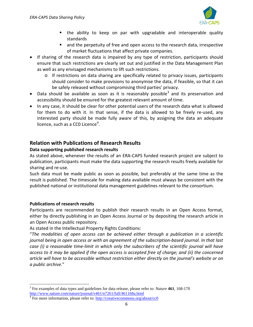

- the ability to keep on par with upgradable and interoperable quality standards
- **no and the perpetuity of free and open access to the research data, irrespective** of market fluctuations that affect private companies.
- If sharing of the research data is impaired by any type of restriction, participants should ensure that such restrictions are clearly set out and justified in the Data Management Plan as well as any envisaged mechanisms to lift such restrictions.
	- o If restrictions on data sharing are specifically related to privacy issues, participants should consider to make provisions to anonymise the data, if feasible, so that it can be safely released without compromising third parties' privacy.
- Data should be available as soon as it is reasonably possible<sup>[3](#page-5-0)</sup> and its preservation and accessibility should be ensured for the greatest relevant amount of time.
- In any case, it should be clear for other potential users of the research data what is allowed for them to do with it. In that sense, if the data is allowed to be freely re-used, any interested party should be made fully aware of this, by assigning the data an adequate licence, such as a CC0 Licence<sup>[4](#page-5-1)</sup>.

#### **Relation with Publications of Research Results**

#### **Data supporting published research results**

As stated above, whenever the results of an ERA-CAPS funded research project are subject to publication, participants must make the data supporting the research results freely available for sharing and re-use.

Such data must be made public as soon as possible, but preferably at the same time as the result is published. The timescale for making data available must always be consistent with the published national or institutional data management guidelines relevant to the consortium.

#### **Publications of research results**

 $\overline{\phantom{a}}$ 

Participants are recommended to publish their research results in an Open Access format, either by directly publishing in an Open Access Journal or by depositing the research article in an Open Access public repository.

As stated in the Intellectual Property Rights Conditions:

"*The modalities of open access can be achieved either through a publication in a scientific journal being in open access or with an agreement of the subscription-based journal. In that last case (i) a reasonable time-limit in which only the subscribers of the scientific journal will have access to it may be applied if the open access is accepted free of charge; and (ii) the concerned article will have to be accessible without restriction either directly on the journal's website or on a public archive.*"

<span id="page-5-0"></span><sup>3</sup> For examples of data types and guidelines for data release, please refer to: *Nature* **461**, 168-170 <http://www.nature.com/nature/journal/v461/n7261/full/461168a.html>

<span id="page-5-1"></span><sup>&</sup>lt;sup>4</sup> For more information, please refer to:<http://creativecommons.org/about/cc0>